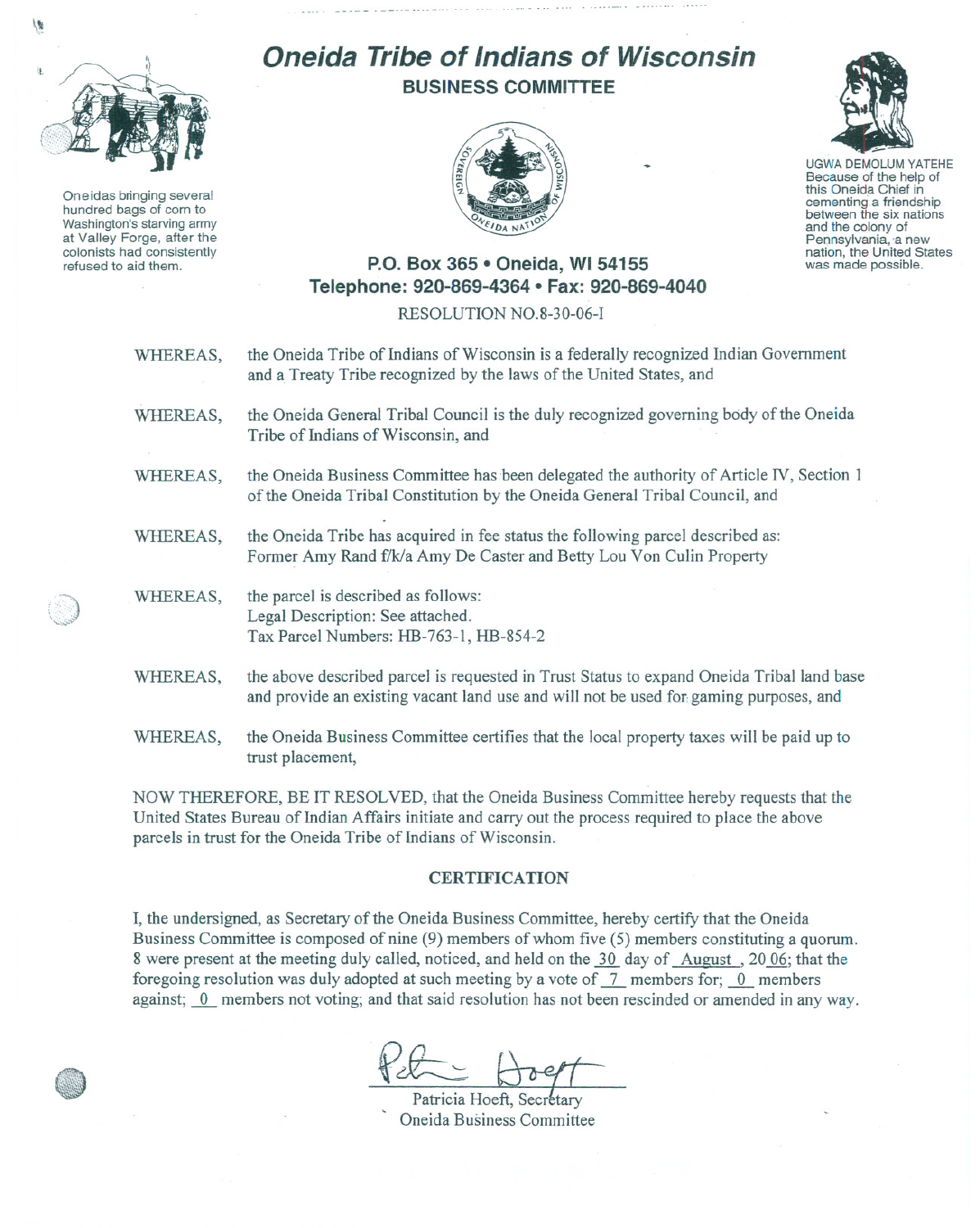

 $\sqrt{2}$ 

Oneidas bringing several hundred bags of corn to Washington's starving army at Valley Forge, after the colonists had consistently refused to aid them.

## **Oneida Tribe of Indians of Wisconsin BUSINESS COMMITTEE**





UGWA DEMOLUM YATEHE Because of the help of this Oneida Chief in cementing <sup>a</sup> friendship between the six nations and the colony of<br>Pennsylvania, a new nation, the United States was made possible.

## **P.O. Box 365· Oneida,** WI 54155 **Telephone: 920-869-4364 • Fax: 920-869-4040**

RESOLUTION NO.8-30-06-1

| WHEREAS, | the Oneida Tribe of Indians of Wisconsin is a federally recognized Indian Government<br>and a Treaty Tribe recognized by the laws of the United States, and                        |
|----------|------------------------------------------------------------------------------------------------------------------------------------------------------------------------------------|
| WHEREAS, | the Oneida General Tribal Council is the duly recognized governing body of the Oneida<br>Tribe of Indians of Wisconsin, and                                                        |
| WHEREAS, | the Oneida Business Committee has been delegated the authority of Article IV, Section 1<br>of the Oneida Tribal Constitution by the Oneida General Tribal Council, and             |
| WHEREAS, | the Oneida Tribe has acquired in fee status the following parcel described as:<br>Former Amy Rand f/k/a Amy De Caster and Betty Lou Von Culin Property                             |
| WHEREAS, | the parcel is described as follows:<br>Legal Description: See attached.<br>Tax Parcel Numbers: HB-763-1, HB-854-2                                                                  |
| WHEREAS, | the above described parcel is requested in Trust Status to expand Oneida Tribal land base<br>and provide an existing vacant land use and will not be used for gaming purposes, and |
| WHEREAS, | the Oneida Business Committee certifies that the local property taxes will be paid up to                                                                                           |

NOW THEREFORE, BE IT RESOLVED, that the Oneida Business Committee hereby requests that the United States Bureau of Indian Affairs initiate and carry out the process required to place the above parcels in trust for the Oneida Tribe of Indians of Wisconsin.

trust placement,

## **CERTIFICATION**

**I,** the undersigned, as Secretary of the Oneida Business Committee, hereby certify that the Oneida Business Committee is composed of nine (9) members of whom five (5) members constituting a quorum. 8 were present at the meeting duly called, noticed, and held on the 30 day of August, 2006; that the foregoing resolution was duly adopted at such meeting by a vote of  $\frac{7}{1}$  members for;  $\frac{0}{0}$  members against; 0 members not voting; and that said resolution has not been rescinded or amended in any way.

Patricia Hoeft, Secretary , Oneida Business Committee